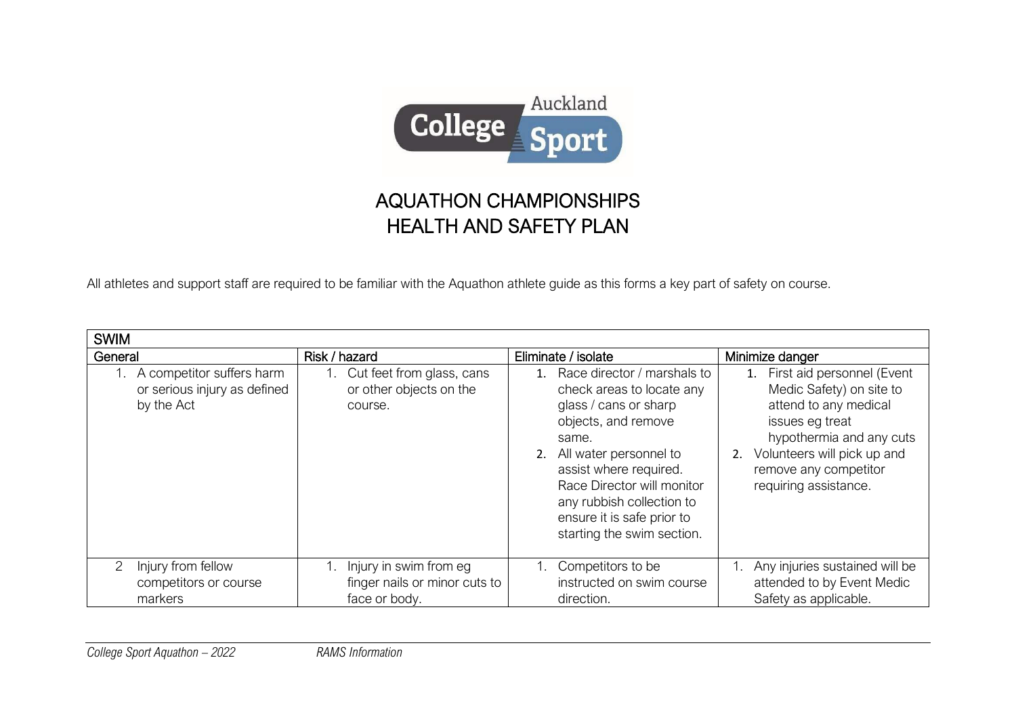

## AQUATHON CHAMPIONSHIPS HEALTH AND SAFETY PLAN

All athletes and support staff are required to be familiar with the Aquathon athlete guide as this forms a key part of safety on course.

| <b>SWIM</b>                                                                |                                                                          |                                                                                                                                                                                                                                                                                              |                                                                                                                                                                                                                          |
|----------------------------------------------------------------------------|--------------------------------------------------------------------------|----------------------------------------------------------------------------------------------------------------------------------------------------------------------------------------------------------------------------------------------------------------------------------------------|--------------------------------------------------------------------------------------------------------------------------------------------------------------------------------------------------------------------------|
| General                                                                    | Risk / hazard                                                            | Eliminate / isolate                                                                                                                                                                                                                                                                          | Minimize danger                                                                                                                                                                                                          |
| 1. A competitor suffers harm<br>or serious injury as defined<br>by the Act | 1. Cut feet from glass, cans<br>or other objects on the<br>course.       | Race director / marshals to<br>check areas to locate any<br>glass / cans or sharp<br>objects, and remove<br>same.<br>All water personnel to<br>assist where required.<br>Race Director will monitor<br>any rubbish collection to<br>ensure it is safe prior to<br>starting the swim section. | First aid personnel (Event<br>1.<br>Medic Safety) on site to<br>attend to any medical<br>issues eg treat<br>hypothermia and any cuts<br>2. Volunteers will pick up and<br>remove any competitor<br>requiring assistance. |
| Injury from fellow<br>competitors or course<br>markers                     | Injury in swim from eg<br>finger nails or minor cuts to<br>face or body. | Competitors to be<br>instructed on swim course<br>direction.                                                                                                                                                                                                                                 | 1. Any injuries sustained will be<br>attended to by Event Medic<br>Safety as applicable.                                                                                                                                 |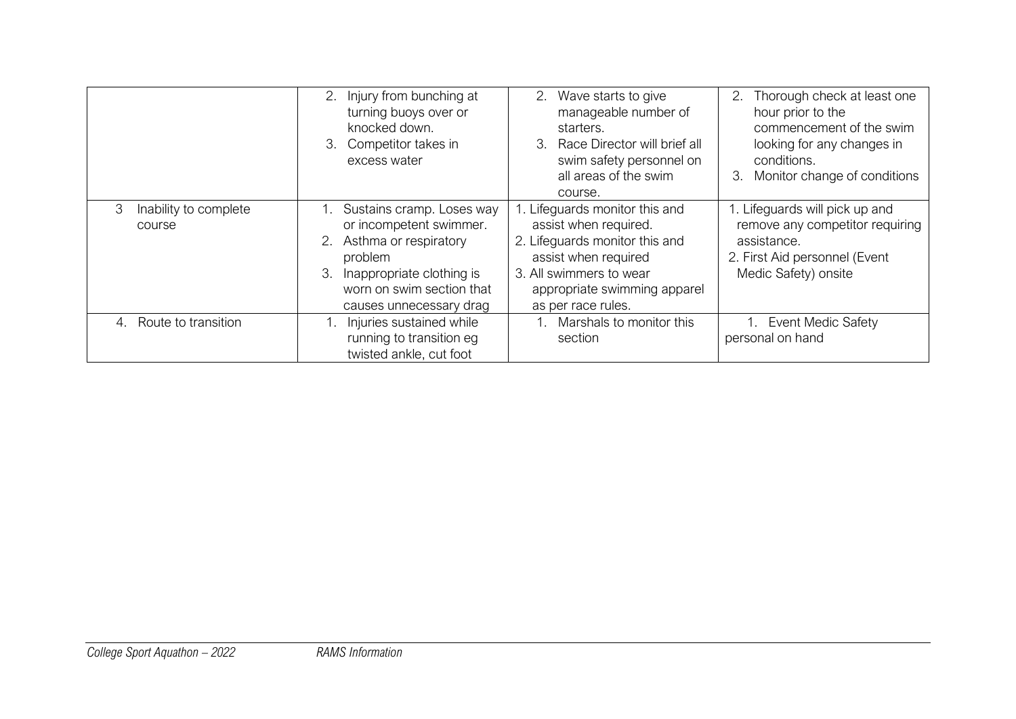|                                      | 2. Injury from bunching at<br>turning buoys over or<br>knocked down.<br>3. Competitor takes in<br>excess water                                                                         | 2. Wave starts to give<br>manageable number of<br>starters.<br>3. Race Director will brief all<br>swim safety personnel on<br>all areas of the swim<br>course.                                     | 2. Thorough check at least one<br>hour prior to the<br>commencement of the swim<br>looking for any changes in<br>conditions.<br>Monitor change of conditions<br>3. |
|--------------------------------------|----------------------------------------------------------------------------------------------------------------------------------------------------------------------------------------|----------------------------------------------------------------------------------------------------------------------------------------------------------------------------------------------------|--------------------------------------------------------------------------------------------------------------------------------------------------------------------|
| 3<br>Inability to complete<br>course | Sustains cramp. Loses way<br>or incompetent swimmer.<br>2. Asthma or respiratory<br>problem<br>3.<br>Inappropriate clothing is<br>worn on swim section that<br>causes unnecessary drag | 1. Lifeguards monitor this and<br>assist when required.<br>2. Lifeguards monitor this and<br>assist when required<br>3. All swimmers to wear<br>appropriate swimming apparel<br>as per race rules. | 1. Lifeguards will pick up and<br>remove any competitor requiring<br>assistance.<br>2. First Aid personnel (Event<br>Medic Safety) onsite                          |
| 4. Route to transition               | I. Injuries sustained while<br>running to transition eg<br>twisted ankle, cut foot                                                                                                     | Marshals to monitor this<br>section                                                                                                                                                                | 1. Event Medic Safety<br>personal on hand                                                                                                                          |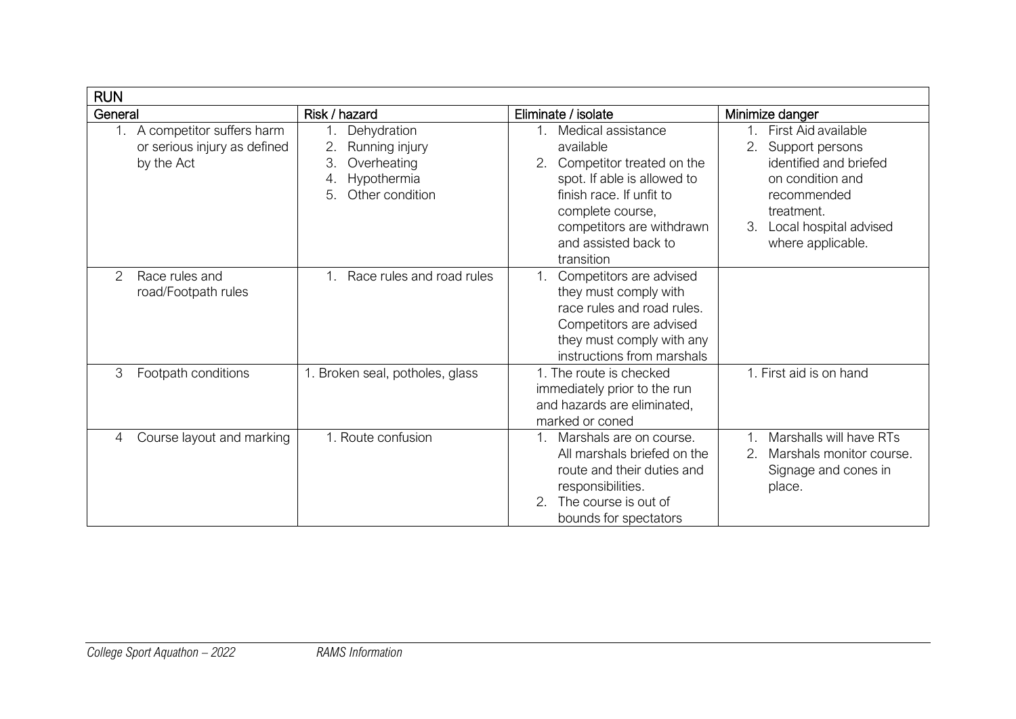| <b>RUN</b>                                                                         |                                                                                                        |                                                                                                                                                                                                                           |                                                                                                                                                                                           |
|------------------------------------------------------------------------------------|--------------------------------------------------------------------------------------------------------|---------------------------------------------------------------------------------------------------------------------------------------------------------------------------------------------------------------------------|-------------------------------------------------------------------------------------------------------------------------------------------------------------------------------------------|
| General                                                                            | Risk / hazard                                                                                          | Eliminate / isolate                                                                                                                                                                                                       | Minimize danger                                                                                                                                                                           |
| A competitor suffers harm<br>$1_{-}$<br>or serious injury as defined<br>by the Act | Dehydration<br>2.<br>Running injury<br>3.<br>Overheating<br>Hypothermia<br>4.<br>5.<br>Other condition | Medical assistance<br>$1_{-}$<br>available<br>Competitor treated on the<br>spot. If able is allowed to<br>finish race. If unfit to<br>complete course,<br>competitors are withdrawn<br>and assisted back to<br>transition | First Aid available<br>$1 \quad$<br>2.<br>Support persons<br>identified and briefed<br>on condition and<br>recommended<br>treatment.<br>3.<br>Local hospital advised<br>where applicable. |
| Race rules and<br>2<br>road/Footpath rules                                         | Race rules and road rules                                                                              | Competitors are advised<br>1.<br>they must comply with<br>race rules and road rules.<br>Competitors are advised<br>they must comply with any<br>instructions from marshals                                                |                                                                                                                                                                                           |
| 3<br>Footpath conditions                                                           | 1. Broken seal, potholes, glass                                                                        | 1. The route is checked<br>immediately prior to the run<br>and hazards are eliminated,<br>marked or coned                                                                                                                 | 1. First aid is on hand                                                                                                                                                                   |
| Course layout and marking<br>4                                                     | 1. Route confusion                                                                                     | Marshals are on course.<br>All marshals briefed on the<br>route and their duties and<br>responsibilities.<br>The course is out of<br>bounds for spectators                                                                | Marshalls will have RTs<br>Marshals monitor course.<br>2.<br>Signage and cones in<br>place.                                                                                               |